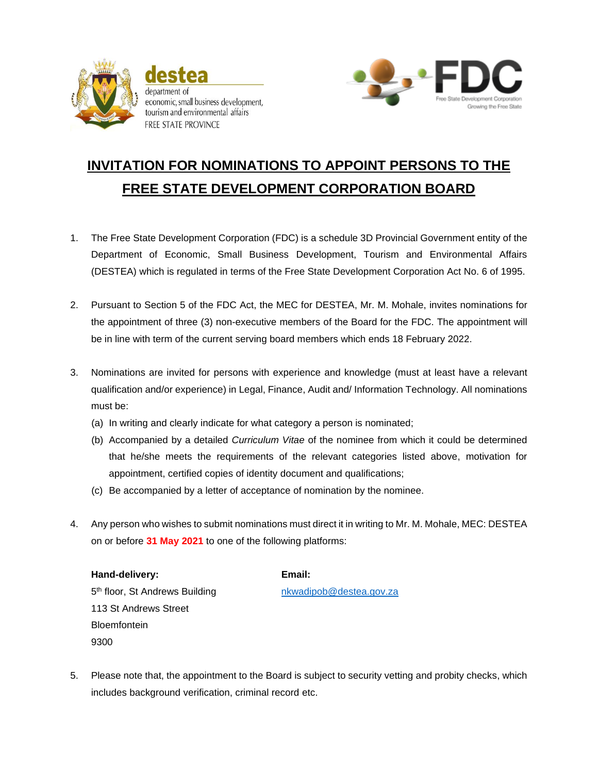

economic, small business development, tourism and environmental affairs FREE STATE PROVINCE



## **INVITATION FOR NOMINATIONS TO APPOINT PERSONS TO THE FREE STATE DEVELOPMENT CORPORATION BOARD**

- 1. The Free State Development Corporation (FDC) is a schedule 3D Provincial Government entity of the Department of Economic, Small Business Development, Tourism and Environmental Affairs (DESTEA) which is regulated in terms of the Free State Development Corporation Act No. 6 of 1995.
- 2. Pursuant to Section 5 of the FDC Act, the MEC for DESTEA, Mr. M. Mohale, invites nominations for the appointment of three (3) non-executive members of the Board for the FDC. The appointment will be in line with term of the current serving board members which ends 18 February 2022.
- 3. Nominations are invited for persons with experience and knowledge (must at least have a relevant qualification and/or experience) in Legal, Finance, Audit and/ Information Technology. All nominations must be:
	- (a) In writing and clearly indicate for what category a person is nominated;
	- (b) Accompanied by a detailed *Curriculum Vitae* of the nominee from which it could be determined that he/she meets the requirements of the relevant categories listed above, motivation for appointment, certified copies of identity document and qualifications;
	- (c) Be accompanied by a letter of acceptance of nomination by the nominee.
- 4. Any person who wishes to submit nominations must direct it in writing to Mr. M. Mohale, MEC: DESTEA on or before **31 May 2021** to one of the following platforms:

**Hand-delivery: Email:** 5<sup>th</sup> floor, St Andrews Building network here the state of the state of the state and the state and the state and 113 St Andrews Street **Bloemfontein** 9300

5. Please note that, the appointment to the Board is subject to security vetting and probity checks, which includes background verification, criminal record etc.